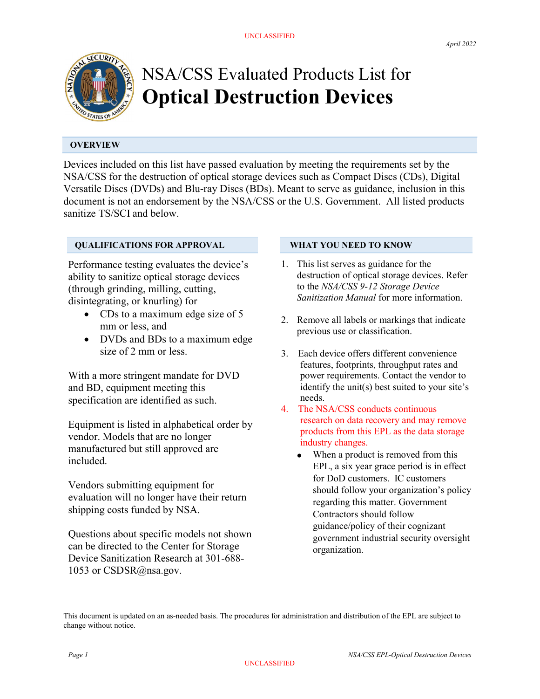

# NSA/CSS Evaluated Products List for Optical Destruction Devices

# **OVERVIEW**

Devices included on this list have passed evaluation by meeting the requirements set by the NSA/CSS for the destruction of optical storage devices such as Compact Discs (CDs), Digital Versatile Discs (DVDs) and Blu-ray Discs (BDs). Meant to serve as guidance, inclusion in this document is not an endorsement by the NSA/CSS or the U.S. Government. All listed products sanitize TS/SCI and below.

# QUALIFICATIONS FOR APPROVAL

Performance testing evaluates the device's ability to sanitize optical storage devices (through grinding, milling, cutting, disintegrating, or knurling) for

- CDs to a maximum edge size of 5 mm or less, and
- DVDs and BDs to a maximum edge size of 2 mm or less.

With a more stringent mandate for DVD and BD, equipment meeting this specification are identified as such.

Equipment is listed in alphabetical order by vendor. Models that are no longer manufactured but still approved are included.

Vendors submitting equipment for evaluation will no longer have their return shipping costs funded by NSA.

Questions about specific models not shown can be directed to the Center for Storage Device Sanitization Research at 301-688- 1053 or CSDSR@nsa.gov.

# WHAT YOU NEED TO KNOW

- 1. This list serves as guidance for the destruction of optical storage devices. Refer to the NSA/CSS 9-12 Storage Device Sanitization Manual for more information.
- 2. Remove all labels or markings that indicate previous use or classification.
- 3. Each device offers different convenience features, footprints, throughput rates and power requirements. Contact the vendor to identify the unit(s) best suited to your site's needs.
- 4. The NSA/CSS conducts continuous research on data recovery and may remove products from this EPL as the data storage industry changes.
	- When a product is removed from this EPL, a six year grace period is in effect for DoD customers. IC customers should follow your organization's policy regarding this matter. Government Contractors should follow guidance/policy of their cognizant government industrial security oversight organization.

This document is updated on an as-needed basis. The procedures for administration and distribution of the EPL are subject to change without notice.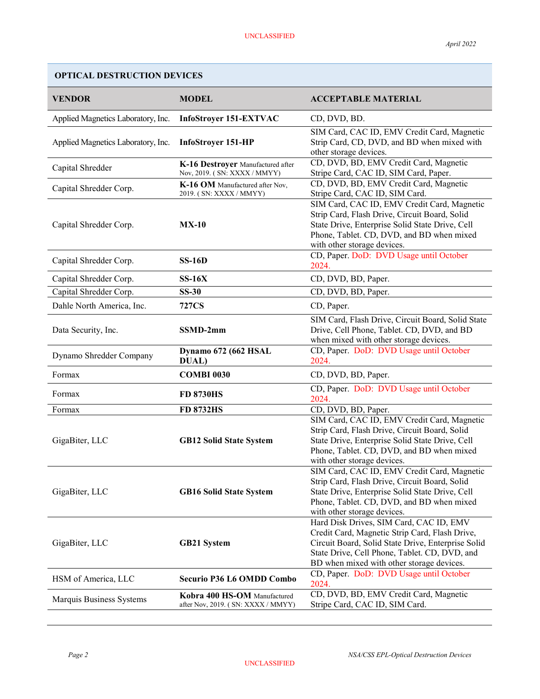### VENDOR MODEL MODEL ACCEPTABLE MATERIAL Applied Magnetics Laboratory, Inc. InfoStroyer 151-EXTVAC CD, DVD, BD. Applied Magnetics Laboratory, Inc. InfoStroyer 151-HP SIM Card, CAC ID, EMV Credit Card, Magnetic Strip Card, CD, DVD, and BD when mixed with other storage devices. Capital Shredder **K-16 Destroyer** Manufactured after Nov, 2019. ( SN: XXXX / MMYY) CD, DVD, BD, EMV Credit Card, Magnetic Stripe Card, CAC ID, SIM Card, Paper. Capital Shredder Corp.<br>
Save Cay WHAT (10 GW) OF THE Nov, 2019. ( SN: XXXX / MMYY) CD, DVD, BD, EMV Credit Card, Magnetic Stripe Card, CAC ID, SIM Card. Capital Shredder Corp. MX-10 SIM Card, CAC ID, EMV Credit Card, Magnetic Strip Card, Flash Drive, Circuit Board, Solid State Drive, Enterprise Solid State Drive, Cell Phone, Tablet. CD, DVD, and BD when mixed with other storage devices. Capital Shredder Corp. SS-16D CD, Paper. DoD: DVD Usage until October 2024. Capital Shredder Corp. SS-16X CD, DVD, BD, Paper. Capital Shredder Corp. SS-30 CD, DVD, BD, Paper. Dahle North America, Inc. 727CS CD, Paper. Data Security, Inc. SSMD-2mm SIM Card, Flash Drive, Circuit Board, Solid State Drive, Cell Phone, Tablet. CD, DVD, and BD when mixed with other storage devices. Dynamo Shredder Company Dynamo 672 (662 HSAL DUAL) CD, Paper. DoD: DVD Usage until October 2024. Formax **COMBI 0030** CD, DVD, BD, Paper. Formax FD 8730HS CD, Paper. DoD: DVD Usage until October 2024. Formax **FD 8732HS** CD, DVD, BD, Paper. GigaBiter, LLC GB12 Solid State System SIM Card, CAC ID, EMV Credit Card, Magnetic Strip Card, Flash Drive, Circuit Board, Solid State Drive, Enterprise Solid State Drive, Cell Phone, Tablet. CD, DVD, and BD when mixed with other storage devices. GigaBiter, LLC GB16 Solid State System SIM Card, CAC ID, EMV Credit Card, Magnetic Strip Card, Flash Drive, Circuit Board, Solid State Drive, Enterprise Solid State Drive, Cell Phone, Tablet. CD, DVD, and BD when mixed with other storage devices. GigaBiter, LLC GB21 System Hard Disk Drives, SIM Card, CAC ID, EMV Credit Card, Magnetic Strip Card, Flash Drive, Circuit Board, Solid State Drive, Enterprise Solid State Drive, Cell Phone, Tablet. CD, DVD, and BD when mixed with other storage devices. HSM of America, LLC Securio P36 L6 OMDD Combo CD, Paper. DoD: DVD Usage until October 2024. Marquis Business Systems Kobra 400 HS-OM Manufactured after Nov, 2019. ( SN: XXXX / MMYY) CD, DVD, BD, EMV Credit Card, Magnetic Stripe Card, CAC ID, SIM Card.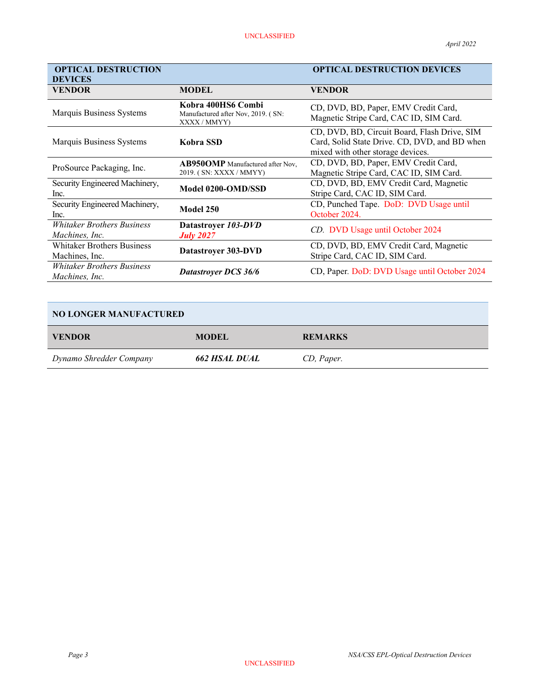| <b>OPTICAL DESTRUCTION</b>                          |                                                                          | <b>OPTICAL DESTRUCTION DEVICES</b>                                                                                                 |
|-----------------------------------------------------|--------------------------------------------------------------------------|------------------------------------------------------------------------------------------------------------------------------------|
| <b>DEVICES</b>                                      |                                                                          |                                                                                                                                    |
| <b>VENDOR</b>                                       | <b>MODEL</b>                                                             | <b>VENDOR</b>                                                                                                                      |
| Marquis Business Systems                            | Kobra 400HS6 Combi<br>Manufactured after Nov, 2019. (SN:<br>XXXX / MMYY) | CD, DVD, BD, Paper, EMV Credit Card,<br>Magnetic Stripe Card, CAC ID, SIM Card.                                                    |
| Marquis Business Systems                            | Kobra SSD                                                                | CD, DVD, BD, Circuit Board, Flash Drive, SIM<br>Card, Solid State Drive. CD, DVD, and BD when<br>mixed with other storage devices. |
| ProSource Packaging, Inc.                           | <b>AB950OMP</b> Manufactured after Nov,<br>2019. (SN: XXXX / MMYY)       | CD, DVD, BD, Paper, EMV Credit Card,<br>Magnetic Stripe Card, CAC ID, SIM Card.                                                    |
| Security Engineered Machinery,<br>Inc.              | Model 0200-OMD/SSD                                                       | CD, DVD, BD, EMV Credit Card, Magnetic<br>Stripe Card, CAC ID, SIM Card.                                                           |
| Security Engineered Machinery,<br>Inc.              | Model 250                                                                | CD, Punched Tape. DoD: DVD Usage until<br>October 2024.                                                                            |
| <b>Whitaker Brothers Business</b><br>Machines, Inc. | Datastroyer 103-DVD<br><b>July 2027</b>                                  | CD. DVD Usage until October 2024                                                                                                   |
| <b>Whitaker Brothers Business</b><br>Machines, Inc. | Datastroyer 303-DVD                                                      | CD, DVD, BD, EMV Credit Card, Magnetic<br>Stripe Card, CAC ID, SIM Card.                                                           |
| <b>Whitaker Brothers Business</b><br>Machines, Inc. | <b>Datastroyer DCS 36/6</b>                                              | CD, Paper. DoD: DVD Usage until October 2024                                                                                       |

# NO LONGER MANUFACTURED

| <b>VENDOR</b>           | <b>MODEL</b>  | <b>REMARKS</b> |
|-------------------------|---------------|----------------|
| Dynamo Shredder Company | 662 HSAL DUAL | CD, Paper.     |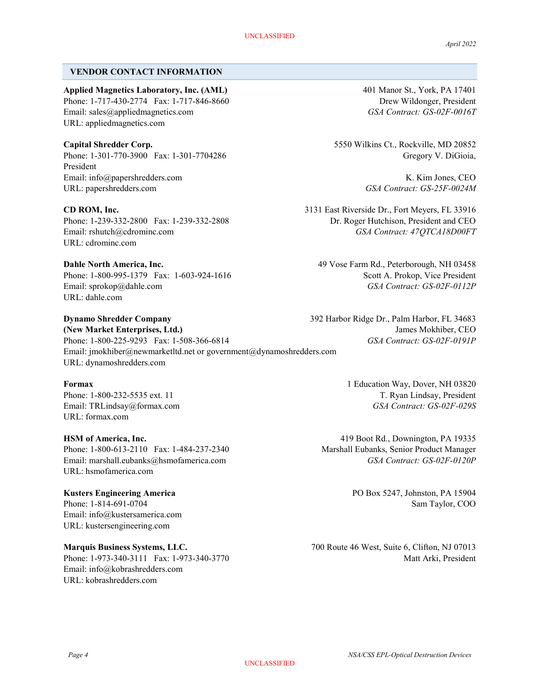### VENDOR CONTACT INFORMATION

Applied Magnetics Laboratory, Inc. (AML) 401 Manor St., York, PA 17401 Phone: 1-717-430-2774 Fax: 1-717-846-8660 Drew Wildonger, President Email: sales@appliedmagnetics.com GSA Contract: GS-02F-0016T URL: appliedmagnetics.com

Phone: 1-301-770-3900 Fax: 1-301-7704286 Gregory V. DiGioia, President Email: info@papershredders.com K. Kim Jones, CEO URL: papershredders.com GSA Contract: GS-25F-0024M

URL: cdrominc.com

Dahle North America, Inc. 49 Vose Farm Rd., Peterborough, NH 03458 Phone: 1-800-995-1379 Fax: 1-603-924-1616 Scott A. Prokop, Vice President Email: sprokop@dahle.com GSA Contract: GS-02F-0112P URL: dahle.com

Dynamo Shredder Company 392 Harbor Ridge Dr., Palm Harbor, FL 34683 (New Market Enterprises, Ltd.) James Mokhiber, CEO Phone: 1-800-225-9293 Fax: 1-508-366-6814 GSA Contract: GS-02F-0191P Email: jmokhiber@newmarketltd.net or government@dynamoshredders.com URL: dynamoshredders.com

URL: formax.com

HSM of America, Inc. 419 Boot Rd., Downington, PA 19335 Phone: 1-800-613-2110 Fax: 1-484-237-2340 Marshall Eubanks, Senior Product Manager Email: marshall.eubanks@hsmofamerica.com GSA Contract: GS-02F-0120P URL: hsmofamerica.com

Email: info@kustersamerica.com URL: kustersengineering.com

Email: info@kobrashredders.com URL: kobrashredders.com

Capital Shredder Corp. 5550 Wilkins Ct., Rockville, MD 20852

CD ROM, Inc. 3131 East Riverside Dr., Fort Meyers, FL 33916 Phone: 1-239-332-2800 Fax: 1-239-332-2808 Dr. Roger Hutchison, President and CEO Email: rshutch@cdrominc.com GSA Contract: 47QTCA18D00FT

Formax 1 Education Way, Dover, NH 03820 Phone: 1-800-232-5535 ext. 11 T. Ryan Lindsay, President Email: TRLindsay@formax.com GSA Contract: GS-02F-029S

Kusters Engineering America **PO Box 5247, Johnston, PA 15904** Phone: 1-814-691-0704 Sam Taylor, COO

Marquis Business Systems, LLC. 700 Route 46 West, Suite 6, Clifton, NJ 07013 Phone: 1-973-340-3111 Fax: 1-973-340-3770 Matt Arki, President